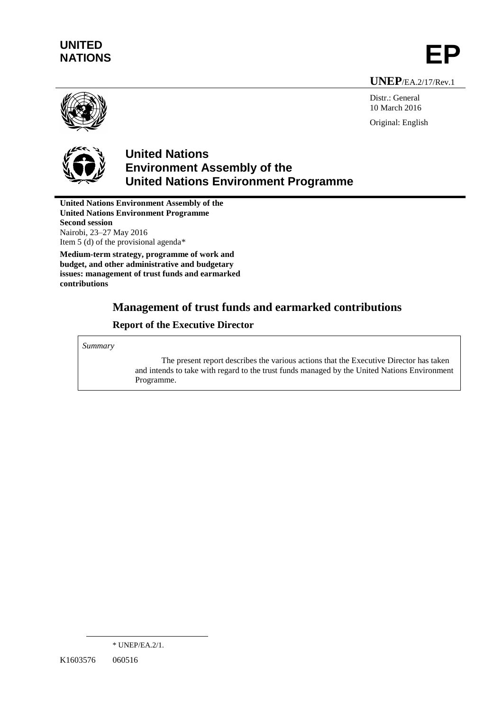# **UNITED** UNITED<br>NATIONS **EP**

**UNEP**/EA.2/17/Rev.1



Distr.: General 10 March 2016 Original: English



## **United Nations Environment Assembly of the United Nations Environment Programme**

**United Nations Environment Assembly of the United Nations Environment Programme Second session** Nairobi, 23–27 May 2016 Item 5 (d) of the provisional agenda\*

**Medium-term strategy, programme of work and budget, and other administrative and budgetary issues: management of trust funds and earmarked contributions**

## **Management of trust funds and earmarked contributions**

## **Report of the Executive Director**

*Summary*

The present report describes the various actions that the Executive Director has taken and intends to take with regard to the trust funds managed by the United Nations Environment Programme.

 $\overline{a}$ 

<sup>\*</sup> UNEP/EA.2/1.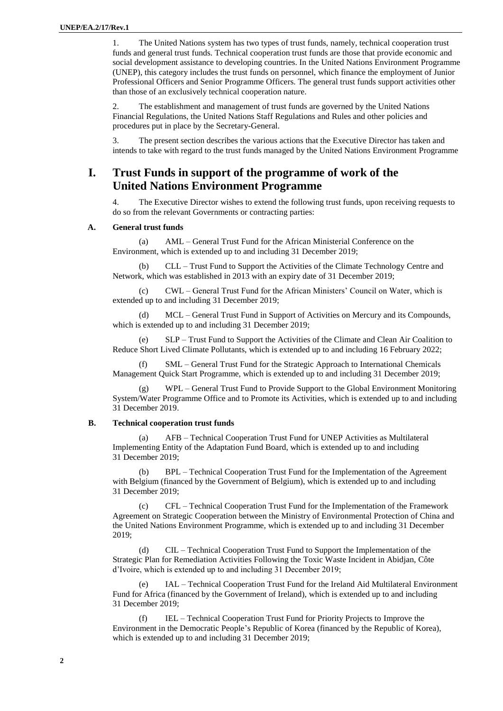1. The United Nations system has two types of trust funds, namely, technical cooperation trust funds and general trust funds. Technical cooperation trust funds are those that provide economic and social development assistance to developing countries. In the United Nations Environment Programme (UNEP), this category includes the trust funds on personnel, which finance the employment of Junior Professional Officers and Senior Programme Officers. The general trust funds support activities other than those of an exclusively technical cooperation nature.

2. The establishment and management of trust funds are governed by the United Nations Financial Regulations, the United Nations Staff Regulations and Rules and other policies and procedures put in place by the Secretary-General.

3. The present section describes the various actions that the Executive Director has taken and intends to take with regard to the trust funds managed by the United Nations Environment Programme

## **I. Trust Funds in support of the programme of work of the United Nations Environment Programme**

4. The Executive Director wishes to extend the following trust funds, upon receiving requests to do so from the relevant Governments or contracting parties:

#### **A. General trust funds**

(a) AML – General Trust Fund for the African Ministerial Conference on the Environment, which is extended up to and including 31 December 2019;

(b) CLL – Trust Fund to Support the Activities of the Climate Technology Centre and Network, which was established in 2013 with an expiry date of 31 December 2019;

(c) CWL – General Trust Fund for the African Ministers' Council on Water, which is extended up to and including 31 December 2019;

(d) MCL – General Trust Fund in Support of Activities on Mercury and its Compounds, which is extended up to and including 31 December 2019;

(e) SLP – Trust Fund to Support the Activities of the Climate and Clean Air Coalition to Reduce Short Lived Climate Pollutants, which is extended up to and including 16 February 2022;

(f) SML – General Trust Fund for the Strategic Approach to International Chemicals Management Quick Start Programme, which is extended up to and including 31 December 2019;

(g) WPL – General Trust Fund to Provide Support to the Global Environment Monitoring System/Water Programme Office and to Promote its Activities, which is extended up to and including 31 December 2019.

#### **B. Technical cooperation trust funds**

(a) AFB – Technical Cooperation Trust Fund for UNEP Activities as Multilateral Implementing Entity of the Adaptation Fund Board, which is extended up to and including 31 December 2019;

(b) BPL – Technical Cooperation Trust Fund for the Implementation of the Agreement with Belgium (financed by the Government of Belgium), which is extended up to and including 31 December 2019;

(c) CFL – Technical Cooperation Trust Fund for the Implementation of the Framework Agreement on Strategic Cooperation between the Ministry of Environmental Protection of China and the United Nations Environment Programme, which is extended up to and including 31 December 2019;

(d) CIL – Technical Cooperation Trust Fund to Support the Implementation of the Strategic Plan for Remediation Activities Following the Toxic Waste Incident in Abidjan, Côte d'Ivoire, which is extended up to and including 31 December 2019;

IAL – Technical Cooperation Trust Fund for the Ireland Aid Multilateral Environment Fund for Africa (financed by the Government of Ireland), which is extended up to and including 31 December 2019;

(f) IEL – Technical Cooperation Trust Fund for Priority Projects to Improve the Environment in the Democratic People's Republic of Korea (financed by the Republic of Korea), which is extended up to and including 31 December 2019;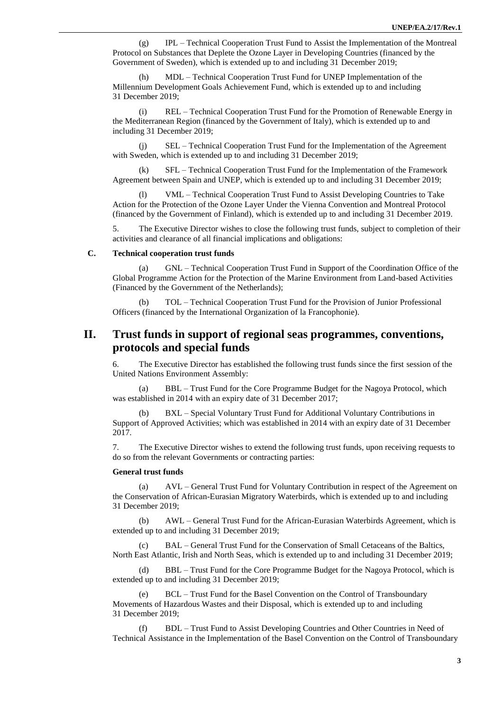(g) IPL – Technical Cooperation Trust Fund to Assist the Implementation of the Montreal Protocol on Substances that Deplete the Ozone Layer in Developing Countries (financed by the Government of Sweden), which is extended up to and including 31 December 2019;

(h) MDL – Technical Cooperation Trust Fund for UNEP Implementation of the Millennium Development Goals Achievement Fund, which is extended up to and including 31 December 2019;

REL – Technical Cooperation Trust Fund for the Promotion of Renewable Energy in the Mediterranean Region (financed by the Government of Italy), which is extended up to and including 31 December 2019;

(j) SEL – Technical Cooperation Trust Fund for the Implementation of the Agreement with Sweden, which is extended up to and including 31 December 2019;

(k) SFL – Technical Cooperation Trust Fund for the Implementation of the Framework Agreement between Spain and UNEP, which is extended up to and including 31 December 2019;

(l) VML – Technical Cooperation Trust Fund to Assist Developing Countries to Take Action for the Protection of the Ozone Layer Under the Vienna Convention and Montreal Protocol (financed by the Government of Finland), which is extended up to and including 31 December 2019.

5. The Executive Director wishes to close the following trust funds, subject to completion of their activities and clearance of all financial implications and obligations:

#### **C. Technical cooperation trust funds**

(a) GNL – Technical Cooperation Trust Fund in Support of the Coordination Office of the Global Programme Action for the Protection of the Marine Environment from Land-based Activities (Financed by the Government of the Netherlands);

(b) TOL – Technical Cooperation Trust Fund for the Provision of Junior Professional Officers (financed by the International Organization of la Francophonie).

### **II. Trust funds in support of regional seas programmes, conventions, protocols and special funds**

6. The Executive Director has established the following trust funds since the first session of the United Nations Environment Assembly:

(a) BBL – Trust Fund for the Core Programme Budget for the Nagoya Protocol, which was established in 2014 with an expiry date of 31 December 2017;

(b) BXL – Special Voluntary Trust Fund for Additional Voluntary Contributions in Support of Approved Activities; which was established in 2014 with an expiry date of 31 December 2017.

7. The Executive Director wishes to extend the following trust funds, upon receiving requests to do so from the relevant Governments or contracting parties:

#### **General trust funds**

(a) AVL – General Trust Fund for Voluntary Contribution in respect of the Agreement on the Conservation of African-Eurasian Migratory Waterbirds, which is extended up to and including 31 December 2019;

(b) AWL – General Trust Fund for the African-Eurasian Waterbirds Agreement, which is extended up to and including 31 December 2019;

(c) BAL – General Trust Fund for the Conservation of Small Cetaceans of the Baltics, North East Atlantic, Irish and North Seas, which is extended up to and including 31 December 2019;

(d) BBL – Trust Fund for the Core Programme Budget for the Nagoya Protocol, which is extended up to and including 31 December 2019;

BCL – Trust Fund for the Basel Convention on the Control of Transboundary Movements of Hazardous Wastes and their Disposal, which is extended up to and including 31 December 2019;

(f) BDL – Trust Fund to Assist Developing Countries and Other Countries in Need of Technical Assistance in the Implementation of the Basel Convention on the Control of Transboundary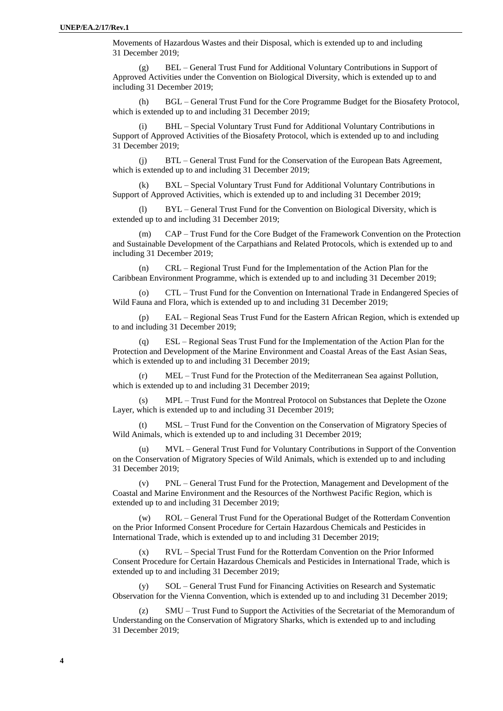Movements of Hazardous Wastes and their Disposal, which is extended up to and including 31 December 2019;

(g) BEL – General Trust Fund for Additional Voluntary Contributions in Support of Approved Activities under the Convention on Biological Diversity, which is extended up to and including 31 December 2019;

(h) BGL – General Trust Fund for the Core Programme Budget for the Biosafety Protocol, which is extended up to and including 31 December 2019;

BHL – Special Voluntary Trust Fund for Additional Voluntary Contributions in Support of Approved Activities of the Biosafety Protocol, which is extended up to and including 31 December 2019;

(j) BTL – General Trust Fund for the Conservation of the European Bats Agreement, which is extended up to and including 31 December 2019;

BXL – Special Voluntary Trust Fund for Additional Voluntary Contributions in Support of Approved Activities, which is extended up to and including 31 December 2019;

(l) BYL – General Trust Fund for the Convention on Biological Diversity, which is extended up to and including 31 December 2019;

(m) CAP – Trust Fund for the Core Budget of the Framework Convention on the Protection and Sustainable Development of the Carpathians and Related Protocols, which is extended up to and including 31 December 2019;

(n) CRL – Regional Trust Fund for the Implementation of the Action Plan for the Caribbean Environment Programme, which is extended up to and including 31 December 2019;

(o) CTL – Trust Fund for the Convention on International Trade in Endangered Species of Wild Fauna and Flora, which is extended up to and including 31 December 2019;

(p) EAL – Regional Seas Trust Fund for the Eastern African Region, which is extended up to and including 31 December 2019;

(q) ESL – Regional Seas Trust Fund for the Implementation of the Action Plan for the Protection and Development of the Marine Environment and Coastal Areas of the East Asian Seas, which is extended up to and including 31 December 2019;

(r) MEL – Trust Fund for the Protection of the Mediterranean Sea against Pollution, which is extended up to and including 31 December 2019:

(s) MPL – Trust Fund for the Montreal Protocol on Substances that Deplete the Ozone Layer, which is extended up to and including 31 December 2019;

(t) MSL – Trust Fund for the Convention on the Conservation of Migratory Species of Wild Animals, which is extended up to and including 31 December 2019;

(u) MVL – General Trust Fund for Voluntary Contributions in Support of the Convention on the Conservation of Migratory Species of Wild Animals, which is extended up to and including 31 December 2019;

(v) PNL – General Trust Fund for the Protection, Management and Development of the Coastal and Marine Environment and the Resources of the Northwest Pacific Region, which is extended up to and including 31 December 2019;

(w) ROL – General Trust Fund for the Operational Budget of the Rotterdam Convention on the Prior Informed Consent Procedure for Certain Hazardous Chemicals and Pesticides in International Trade, which is extended up to and including 31 December 2019;

(x) RVL – Special Trust Fund for the Rotterdam Convention on the Prior Informed Consent Procedure for Certain Hazardous Chemicals and Pesticides in International Trade, which is extended up to and including 31 December 2019;

SOL – General Trust Fund for Financing Activities on Research and Systematic Observation for the Vienna Convention, which is extended up to and including 31 December 2019;

SMU – Trust Fund to Support the Activities of the Secretariat of the Memorandum of Understanding on the Conservation of Migratory Sharks, which is extended up to and including 31 December 2019;